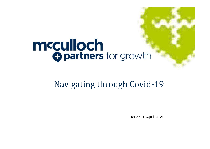# mcculloch<br>Opartners for growth

# Navigating through Covid-19

As at 16 April 2020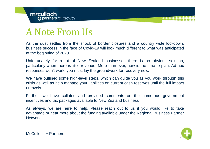# A Note From Us

As the dust settles from the shock of border closures and <sup>a</sup> country wide lockdown, business success in the face of Covid-19 will look much different to what was anticipated at the beginning of 2020.

Unfortunately for <sup>a</sup> lot of New Zealand businesses there is no obvious solution, particularly when there is little revenue. More than ever, now is the time to plan. Ad hoc responses won't work, you must lay the groundwork for recovery now.

We have outlined some high-level steps, which can guide you as you work through this crisis as well as help manage your liabilities on current cash reserves until the full impact unravels.

Further, we have collated and provided comments on the numerous government incentives and tax packages available to New Zealand business

As always, we are here to help. Please reach out to us if you would like to take advantage or hear more about the funding available under the Regional Business Partner Network.

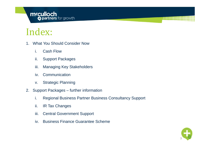# **mcculloch**<br> **Opartners** for growth

# Index:

- 1. What You Should Consider Now
	- i. Cash Flow
	- ii. Support Packages
	- iii. Managing Key Stakeholders
	- iv. Communication
	- v. Strategic Planning
- 2. Support Packages further information
	- i. Regional Business Partner Business Consultancy Support
	- ii. IR Tax Changes
	- iii. Central Government Support
	- iv. Business Finance Guarantee Scheme

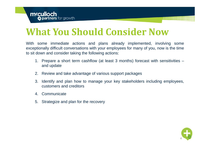# **What You Should Consider Now**

With some immediate actions and plans already implemented, involving some exceptionally difficult conversations with your employees for many of you, now is the time to sit down and consider taking the following actions:

- 1. Prepare <sup>a</sup> short term cashflow (at least 3 months) forecast with sensitivities and update
- 2. Review and take advantage of various support packages
- 3. Identify and plan how to manage your key stakeholders including employees, customers and creditors
- 4. Communicate
- 5. Strategize and plan for the recovery

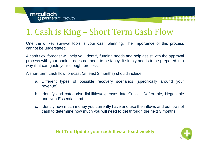# 1. Cash is King – Short Term Cash Flow

One the of key survival tools is your cash planning. The importance of this process cannot be understated.

A cash flow forecast will help you identify funding needs and help assist with the approval process with your bank. It does not need to be fancy. It simply needs to be prepared in <sup>a</sup> way that can guide your thought process.

A short term cash flow forecast (at least 3 months) should include:

- a. Different types of possible recovery scenarios (specifically around your revenue);
- b. Identify and categorise liabilities/expenses into Critical, Deferrable, Negotiable and Non-Essential; and
- c. Identify how much money you currently have and use the inflows and outflows of cash to determine how much you will need to get through the next 3 months.

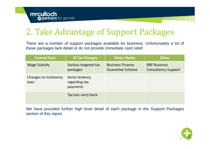# 2. Take Advantage of Support Packages

There are <sup>a</sup> number of support packages available for business. Unfortunately <sup>a</sup> lot of these packages lack detail or do not provide immediate cash relief.

| <b>Central Govt.</b>          | <b>IR Tax Changes</b>                      | <b>Major Banks</b>                                 | <b>Other</b>                                      |
|-------------------------------|--------------------------------------------|----------------------------------------------------|---------------------------------------------------|
| <b>Wage Subsidy</b>           | Various targeted tax<br>packages           | <b>Business Finance</b><br><b>Guarantee Scheme</b> | <b>RBP Business</b><br><b>Consultancy Support</b> |
| Changes to insolvency<br>laws | Some leniency<br>regarding tax<br>payments |                                                    |                                                   |
|                               | Tax loss carry-back                        |                                                    |                                                   |

We have provided further high level detail of each package in the Support Packages section of this report.

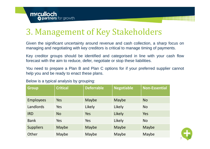# 3. Management of Key Stakeholders

Given the significant uncertainty around revenue and cash collection, <sup>a</sup> sharp focus on managing and negotiating with key creditors is critical to manage timing of payments.

Key creditor groups should be identified and categorised in line with your cash flow forecast with the aim to reduce, defer, negotiate or stop these liabilities.

You need to prepare <sup>a</sup> Plan B and Plan C options for if your preferred supplier cannot help you and be ready to enact these plans.

| <b>Group</b>     | <b>Critical</b> | <b>Deferrable</b> | <b>Negotiable</b> | <b>Non-Essential</b> |
|------------------|-----------------|-------------------|-------------------|----------------------|
| <b>Employees</b> | Yes             | Maybe             | Maybe             | <b>No</b>            |
| Landlords        | Yes             | Likely            | Likely            | <b>No</b>            |
| <b>IRD</b>       | <b>No</b>       | Yes               | Likely            | Yes                  |
| <b>Bank</b>      | Yes             | Yes               | Likely            | <b>No</b>            |
| <b>Suppliers</b> | Maybe           | <b>Maybe</b>      | Maybe             | <b>Maybe</b>         |
| Other            | Maybe           | Maybe             | Maybe             | Maybe                |

Below is <sup>a</sup> typical analysis by grouping:

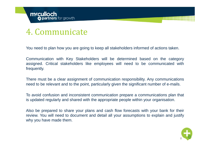#### 4. Communicate

You need to plan how you are going to keep all stakeholders informed of actions taken.

Communication with Key Stakeholders will be determined based on the category assigned. Critical stakeholders like employees will need to be communicated with frequently.

There must be <sup>a</sup> clear assignment of communication responsibility. Any communications need to be relevant and to the point, particularly given the significant number of e-mails.

To avoid confusion and inconsistent communication prepare <sup>a</sup> communications plan that is updated regularly and shared with the appropriate people within your organisation.

Also be prepared to share your plans and cash flow forecasts with your bank for their review. You will need to document and detail all your assumptions to explain and justify why you have made them.

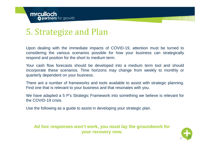# 5. Strategize and Plan

Upon dealing with the immediate impacts of COVID-19, attention must be turned to considering the various scenarios possible for how your business can strategically respond and position for the short to medium term.

Your cash flow forecasts should be developed into <sup>a</sup> medium term tool and should incorporate these scenarios. Time horizons may change from weekly to monthly or quarterly dependent on your business.

There are <sup>a</sup> number of frameworks and tools available to assist with strategic planning. Find one that is relevant to your business and that resonates with you.

We have adapted <sup>a</sup> 5 P's Strategic Framework into something we believe is relevant for the COVID-19 crisis.

Use the following as <sup>a</sup> guide to assist in developing your strategic plan.

**Ad hoc responses won't work, you must lay the groundwork for your recovery now.** 

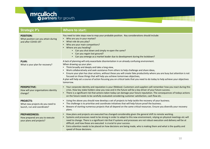

| <b>Strategic P's</b>                                                                | <b>Where to start:</b>                                                                                                                                                                                                                                                                                                                                                                                                                                                                                                                                                                                                                                 |
|-------------------------------------------------------------------------------------|--------------------------------------------------------------------------------------------------------------------------------------------------------------------------------------------------------------------------------------------------------------------------------------------------------------------------------------------------------------------------------------------------------------------------------------------------------------------------------------------------------------------------------------------------------------------------------------------------------------------------------------------------------|
| <b>POSITION:</b><br>What position can you attain during<br>and after COVID-19?      | You need to take steps now to map your probable position. Key considerations should include:<br>Who are you in your market?<br>What role do you play?<br>$\bullet$<br>Who are your main competitors?<br>Where are you heading?<br>$\bullet$<br>• Can you shut down and simply re-open the same?<br>• Can you regain lost ground?<br>• Can you emerge as a market leader due to development during the lockdown?                                                                                                                                                                                                                                        |
| <b>PLAN:</b><br>What is your plan for recovery?                                     | A lack of planning will only exacerbate disorientation in an already confusing environment.<br>When drawing up your plan:<br>• Think broadly and deeply and take a long view,<br>Work collaboratively and seek assistance from others to help challenge and share ideas,<br>٠<br>Ensure your plan has clear actions, without these you will create fake productivity where you are busy but attention is not<br>$\bullet$<br>focused on those things that will help you achieve tomorrows objectives,<br>A plan will help set a course of action focusing you on critical tasks that you need to do today to help achieve your objectives<br>tomorrow. |
| <b>PERSPECTIVE:</b><br>How will your organisations identity<br>change?              | • Your corporate identity and reputation is your lifeblood. Customers and suppliers will remember how you react during this<br>crisis. How key stake holders view you now and in the future will be a key driver of your future success.<br>There is a significant risk that actions taken today can damage your future reputation. The consequences of todays actions<br>$\bullet$<br>on the future needs to be carefully evaluated considering customer satisfaction, cash flow etc.                                                                                                                                                                 |
| <b>PROJECTS:</b><br>What new projects do you need to<br>launch, run and coordinate? | Using the above you should now develop a set of projects to help tackle the recovery of your business.<br>$\bullet$<br>The challenge is to prioritise and coordinate initiatives that will help future proof the business.<br>Beware of starting numerous projects that all depend on the same critical resources. Ensure you diversify your recovery<br>$\bullet$<br>plans.                                                                                                                                                                                                                                                                           |
| <b>PREPAREDNESS:</b><br>How prepared are you to execute<br>your plans and projects? | How plans and projects are executed has changed considerably given the general shift to remote working.<br>$\bullet$<br>Systems and processes need to be strong in order to adapt to this new environment, relying on physical meetings etc will<br>$\bullet$<br>need to change. There is a significant risk that if systems and processes are not robust execution and delivery will be at<br>difficult, and how these are executed is crucial to your success.<br>Extra attention needs to be placed on how decisions are being made, who is making them and what is the quality and<br>speed of those decisions.                                    |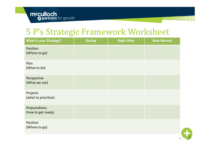### 5 P's Strategic Framework Worksheet

| <b>What is your Strategy?</b>      | <b>During</b> | <b>Right After</b> | <b>New Normal</b> |
|------------------------------------|---------------|--------------------|-------------------|
| Position<br>(Where to go)          |               |                    |                   |
| Plan<br>(What to do)               |               |                    |                   |
| Perspective<br>(What we see)       |               |                    |                   |
| Projects<br>(what to prioritise)   |               |                    |                   |
| Preparedness<br>(how to get ready) |               |                    |                   |
| Position<br>(Where to go)          |               |                    |                   |

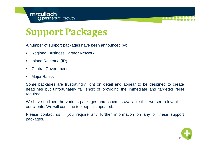

# **Support Packages**

A number of support packages have been announced by:

- Regional Business Partner Network
- $\bullet$ Inland Revenue (IR)
- $\bullet$ Central Government
- $\bullet$ Major Banks

Some packages are frustratingly light on detail and appear to be designed to create headlines but unfortunately fall short of providing the immediate and targeted relief required.

We have outlined the various packages and schemes available that we see relevant for our clients. We will continue to keep this updated.

Please contact us if you require any further information on any of these support packages.

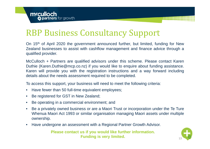# RBP Business Consultancy Support

On 15th of April 2020 the government announced further, but limited, funding for New Zealand businesses to assist with cashflow management and finance advice through <sup>a</sup> qualified provider.

McCulloch <sup>+</sup> Partners are qualified advisors under this scheme. Please contact Karen Duthie (Karen.Duthie@mcp.co.nz) if you would like to enquire about funding assistance. Karen will provide you with the registration instructions and <sup>a</sup> way forward including details about the needs assessment required to be completed.

To access this support, your business will need to meet the following criteria:

- $\bullet$ Have fewer than 50 full-time equivalent employees;
- $\bullet$ Be registered for GST in New Zealand;
- $\bullet$ Be operating in <sup>a</sup> commercial environment; and
- $\bullet$  Be <sup>a</sup> privately owned business or are <sup>a</sup> Maori Trust or incorporation under the Te Ture Whenua Maori Act 1993 or similar organisation managing Maori assets under multiple ownership.
- Have undergone an assessment with <sup>a</sup> Regional Partner Growth Advisor.

**Please contact us if you would like further information. Funding is very limited.** 

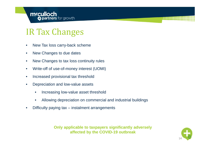# IR Tax Changes

- $\bullet$ New Tax loss carry-back scheme
- $\bullet$ New Changes to due dates
- $\bullet$ New Changes to tax loss continuity rules
- $\bullet$ Write-off of use-of-money interest (UOMI)
- •Increased provisional tax threshold
- $\bullet$  Depreciation and low-value assets
	- •Increasing low-value asset threshold
	- •Allowing depreciation on commercial and industrial buildings
- •Difficulty paying tax – instalment arrangements

**Only applicable to taxpayers significantly adversely affected by the COVID-19 outbreak**

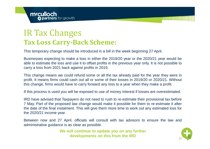#### IR Tax Changes **Tax Loss Carry-Back Scheme:**

This temporary change should be introduced in <sup>a</sup> bill in the week beginning 27 April.

Businesses expecting to make <sup>a</sup> loss in either the 2019/20 year or the 2020/21 year would be able to estimate the loss and use it to offset profits in the previous year only. It is not possible to carry <sup>a</sup> loss from 2021 back against profits in 2019.

This change means we could refund some or all the tax already paid for the year they were in profit. It means firms could cash out all or some of their losses in 2019/20 or 2020/21. Without this change, firms would have to carry forward any loss to <sup>a</sup> year when they make <sup>a</sup> profit.

If this process is used you will be exposed to use of money interest if losses are overestimated.

IRD have advised that Taxpayers do not need to rush to re-estimate their provisional tax before 7 May. Part of the proposed law change would make it possible for them to re-estimate it after the date of the final instalment. This will give them more time to work out any estimated loss for the 2020/21 income year.

Between now and 27 April, officials will consult with tax advisors to ensure the law and administrative guidance is as clear as possible.

> **We will continue to update you on any further developments on this from the IRD**

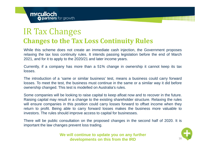#### IR Tax Changes **Changes to the Tax Loss Continuity Rules**

While this scheme does not create an immediate cash injection, the Government proposes relaxing the tax loss continuity rules. It intends passing legislation before the end of March 2021, and for it to apply to the 2020/21 and later income years.

Currently, if <sup>a</sup> company has more than <sup>a</sup> 51% change in ownership it cannot keep its tax losses.

The introduction of <sup>a</sup> 'same or similar business' test, means <sup>a</sup> business could carry forward losses. To meet the test, the business must continue in the same or <sup>a</sup> similar way it did before ownership changed. This test is modelled on Australia's rules.

Some companies will be looking to raise capital to keep afloat now and to recover in the future. Raising capital may result in <sup>a</sup> change to the existing shareholder structure. Relaxing the rules will ensure companies in this position could carry losses forward to offset income when they return to profit. Being able to carry forward losses makes the business more valuable to investors. The rules should improve access to capital for businesses.

There will be public consultation on the proposed changes in the second half of 2020. It is important the law changes prevent loss trading.

> **We will continue to update you on any further developments on this from the IRD**

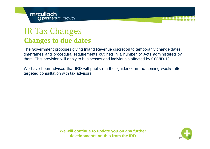#### IR Tax Changes **Changes to due dates**

The Government proposes giving Inland Revenue discretion to temporarily change dates, timeframes and procedural requirements outlined in <sup>a</sup> number of Acts administered by them. This provision will apply to businesses and individuals affected by COVID-19.

We have been advised that IRD will publish further guidance in the coming weeks after targeted consultation with tax advisors.

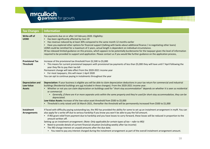

| <b>Tax Changes</b>                                    | <b>Information</b>                                                                                                                                                                                                                                                                                                                                                                                                                                                                                                                                                                                                                                                                                                                                                                                                                         |
|-------------------------------------------------------|--------------------------------------------------------------------------------------------------------------------------------------------------------------------------------------------------------------------------------------------------------------------------------------------------------------------------------------------------------------------------------------------------------------------------------------------------------------------------------------------------------------------------------------------------------------------------------------------------------------------------------------------------------------------------------------------------------------------------------------------------------------------------------------------------------------------------------------------|
| Write-off of<br><b>UOMI</b>                           | For payments due on or after 14 February 2020. Eligibility:<br>Has been significantly affected by Covi-19<br>Has revenue reduced by at least 30% compared to the same month 12 months earlier<br>Have you explored other options for financial support (talking with banks about additional finance / re-negotiating other loans)<br>UOMI could be remitted for a maximum of 2 years, actual length is dependent on individual circumstance.<br>IR has released limited guidance on this process, which appears to be potentially burdensome for the taxpayer given the level of information<br>required to be provided to support and application. Please contact us if you would like further guidance on the application process,                                                                                                       |
| <b>Provisional Tax</b><br><b>Threshold</b>            | Increase of the provisional tax threshold from \$2,500 to \$5,000<br>• This means for current provisional taxpayers with provisional tax payments of less than \$5,000 they will have until 7 April following the<br>year they file to pay their tax bill<br>Permanent change will take effect from the 2020-2021 income year<br>• For most taxpayers, this will mean 1 April 2020<br>You can opt to continue paying in instalments throughout the year                                                                                                                                                                                                                                                                                                                                                                                    |
| <b>Depreciation and</b><br>Low-Value<br><b>Assets</b> | Depreciation: If your business is eligible you will be able to claim depreciation deductions in your tax return for commercial and industrial<br>buildings (Residential buildings are not included in these changes). From the 2020-2021 income year.<br>• Whether or not you can claim depreciation on buildings used for "short-stay accommodation" depends on whether it is seen as residential<br>or commercial<br>Generally, if there are 4 or more separate units within the same property and they're used for short-stay accommodation, they can be<br>$\bullet$<br>depreciated.<br>Low-Value Assets: Increase of the low-value asset threshold from \$500 to \$5,000<br>• Threshold is only raised until 16 March 2021, thereafter the threshold will be permanently increased from \$500 to \$1,000                              |
| Instalment<br><b>Arrangements</b>                     | If faced with difficulty paying outstanding tax, the IRD has provided the ability for some to set up an instalment arrangement in myIR. You can<br>also apply for a write-off due to serious hardship if you know you won't be able to pay the full amount.<br>• If IRD grant relief from payment due to hardship and you have losses to carry forward, these losses will be reduced in proportion to the<br>amount written off.<br>Setting up an instalment arrangement: (Note: Only applicable for certain types of tax - refer to IRD)<br>Need to provide details of current financial situation (including weekly after tax income)<br>The IRD charge interest on unpaid amounts after the due date.<br>• You need to pay any interest charged during the instalment arrangement as part of the overall instalment arrangement amount. |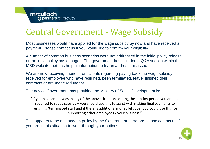# Central Government - Wage Subsidy

Most businesses would have applied for the wage subsidy by now and have received a payment. Please contact us if you would like to confirm your eligibility.

A number of common business scenarios were not addressed in the initial policy release or the initial policy has changed. The government has included a Q&A section within the MSD website that has helpful information to try an address this issue.

We are now receiving queries from clients regarding paying back the wage subsidy received for employee who have resigned, been terminated, leave, finished their contracts or are made redundant.

The advice Government has provided the Ministry of Social Development is:

"If you have employees in any of the above situations during the subsidy period you are not required to repay subsidy – you should use this to assist with making final payments to resigning/terminated staff and if there is additional money left over you could use this for supporting other employees / your business."

This appears to be a change in policy by the Government therefore please contact us if you are in this situation to work through your options.

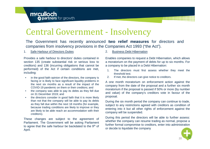# Central Government - Insolvency

The Government has recently announced **two relief measures** for directors and companies from insolvency provisions in the Companies Act 1993 ("the Act").

#### 1. Safe Harbour of Directors Duties

Provides a safe harbour to directors' duties contained insection 135 (create substantial risk or serious loss to creditors) and 136 (incurring obligations that cannot be performed) of the Act if certain conditions are met, including:

- • in the good faith opinion of the directors, the company is facing or is likely to face significant liquidity problems in the next six months as <sup>a</sup> result of the impact of the COVID-19 pandemic on them or their creditors; and
- • the company was able to pay its debts as they fell due on 31 December 2019; and
- $\bullet$  the directors consider in good faith that it is more likely than not that the company will be able to pay its debts as they fall due within the next 18 months (for example, because trading conditions are likely to improve or they are likely to be able reach an accommodation with their creditors).

These changes are subject to the agreement of Parliament. The Government will be asking Parliament to agree that the safe harbour be backdated to the 9<sup>th</sup> of April.

2. Business Debt Hibernation

Enables companies to request <sup>a</sup> Debt Hibernation, which allows <sup>a</sup> moratorium on the payment of debts for up to six months. For <sup>a</sup> company to be placed in <sup>a</sup> Debt Hibernation:

- 1. The directors must first assess whether they meet the threshold test.
- 2. If met, the directors can give notice to creditors.

A one month moratorium on enforcement action against the company from the date of the proposal and <sup>a</sup> further six month moratorium if the proposal is passed if 50% or more (by number and value) of the company's creditors vote in favour of the proposal.

During the six month period the company can continue to trade, subject to any restrictions agreed with creditors as condition of entering into it but all other rights of enforcement against the company will be suspended.

During this period the directors will be able to further assess: whether the company can resume trading as normal, propose <sup>a</sup> further formal compromise to creditors, enter into administration or decide to liquidate the company

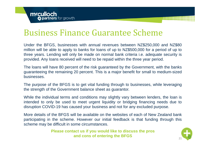#### Business Finance Guarantee Scheme

Under the BFGS, businesses with annual revenues between NZ\$250,000 and NZ\$80 million will be able to apply to banks for loans of up to NZ\$500,000 for <sup>a</sup> period of up to three years. Lending will only be made on normal bank criteria i.e. adequate security is provided. Any loans received will need to be repaid within the three year period.

The loans will have 80 percent of the risk guaranteed by the Government, with the banks guaranteeing the remaining 20 percent. This is <sup>a</sup> major benefit for small to medium-sized businesses.

The purpose of the BFGS is to get vital funding through to businesses, while leveraging the strength of the Government balance sheet as guarantor.

While the individual terms and conditions may slightly vary between lenders, the loan is intended to only be used to meet urgent liquidity or bridging financing needs due to disruption COVID-19 has caused your business and not for any excluded purpose.

More details of the BFGS will be available on the websites of each of New Zealand bankparticipating in the scheme. However our initial feedback is that funding through this scheme may be difficult in some circumstances.

> **Please contact us if you would like to discuss the pros and cons of entering the BFGS**